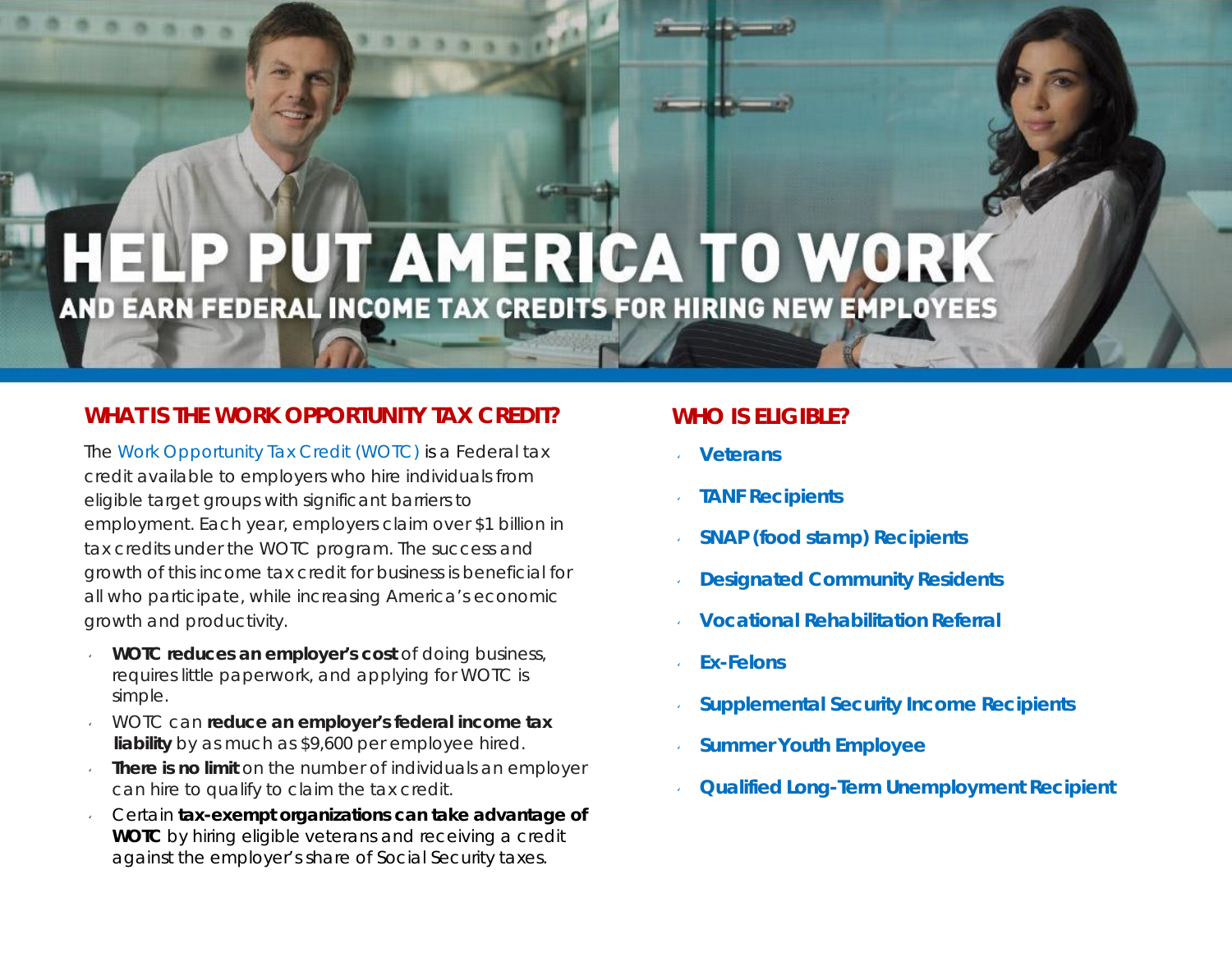# ELP PUT AMERICA TO WORK AND EARN FEDERAL INCOME TAX CREDITS FOR HIRING NEW EMPLOYEES

#### **WHAT IS THE WORK OPPORTUNITY TAX CREDIT?**

The [Work Opportunity Tax Credit \(WOTC\)](https://www.doleta.gov/business/incentives/opptax/) is a Federal tax credit available to employers who hire individuals from eligible target groups with significant barriers to employment. Each year, employers claim over \$1 billion in tax credits under the WOTC program. The success and growth of this income tax credit for business is beneficial for all who participate, while increasing America's economic growth and productivity.

- v **WOTC reduces an employer's cost** of doing business, requires little paperwork, and applying for WOTC is simple.
- v WOTC can **reduce an employer's federal income tax liability** by as much as \$9,600 per employee hired.
- v **There is no limit** on the number of individuals an employer can hire to qualify to claim the tax credit.
- v Certain **tax-exempt organizations can take advantage of WOTC** by hiring eligible veterans and receiving a credit against the employer's share of Social Security taxes.

#### **WHO IS ELIGIBLE?**

- **Veterans**
- **TANF Recipients**
- **SNAP (food stamp) Recipients**
- **Designated Community Residents**
- **Vocational Rehabilitation Referral**
- ۷ **Ex-Felons**
- **Supplemental Security Income Recipients**
- **Summer Youth Employee**
- **Qualified Long-Term Unemployment Recipient**